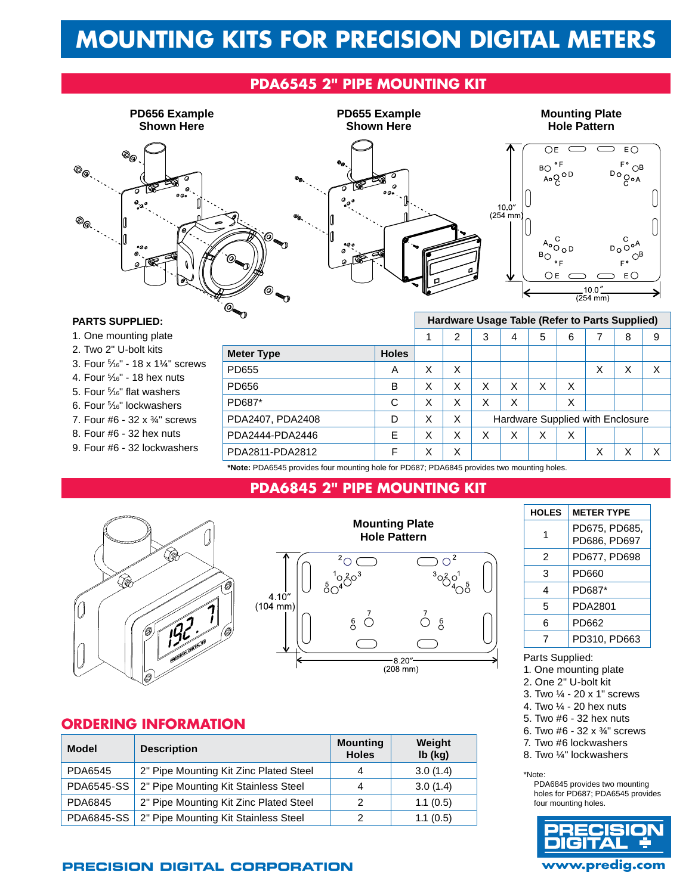# **Mounting Kits for Precision Digital Meters**

## **PDA6545 2" Pipe Mounting Kit**



#### **Parts Supplied:**

- 1. One mounting plate
- 2. Two 2" U-bolt kits
- 3. Four 5 /16" 18 x 1¼" screws
- 4. Four 5 /16" 18 hex nuts
- 5. Four 5 /16" flat washers
- 6. Four % "lockwashers 7. Four #6 - 32 x ¾" screws
- 8. Four #6 32 hex nuts
- 
- 9. Four #6 32 lockwashers

| ιV                                                                                        |              |   | Hardware Usage Table (Refer to Parts Supplied) |                                  |   |   |   |   |   |   |  |
|-------------------------------------------------------------------------------------------|--------------|---|------------------------------------------------|----------------------------------|---|---|---|---|---|---|--|
|                                                                                           |              |   | 2                                              | 3                                | 4 | 5 | 6 |   | 8 | 9 |  |
| <b>Meter Type</b>                                                                         | <b>Holes</b> |   |                                                |                                  |   |   |   |   |   |   |  |
| PD655                                                                                     | A            | X | X                                              |                                  |   |   |   | X | X | Χ |  |
| PD656                                                                                     | в            | X | X                                              | X                                | X | X | X |   |   |   |  |
| PD687*                                                                                    | C            | X | X                                              | Χ                                | X |   | Χ |   |   |   |  |
| PDA2407, PDA2408                                                                          | D            | X | X                                              | Hardware Supplied with Enclosure |   |   |   |   |   |   |  |
| PDA2444-PDA2446                                                                           | E            | X | X                                              | X                                | X | X | X |   |   |   |  |
| PDA2811-PDA2812                                                                           | F            | Χ | X                                              |                                  |   |   |   | Χ | X | X |  |
| *Nets: DDACE4E provides four mounting hole for DDC07; DDAC04E provides two mounting holes |              |   |                                                |                                  |   |   |   |   |   |   |  |

**\*Note:** PDA6545 provides four mounting hole for PD687; PDA6845 provides two mounting holes.

## **PDA6845 2" Pipe Mounting Kit**





 $(208 \, \text{mm})$ 

### **ORDERING INFORMATION**

| <b>Model</b>      | <b>Description</b>                     | <b>Mounting</b><br><b>Holes</b> | Weight<br>Ib (kg) |
|-------------------|----------------------------------------|---------------------------------|-------------------|
| PDA6545           | 2" Pipe Mounting Kit Zinc Plated Steel | 4                               | 3.0(1.4)          |
| <b>PDA6545-SS</b> | 2" Pipe Mounting Kit Stainless Steel   | 4                               | 3.0(1.4)          |
| PDA6845           | 2" Pipe Mounting Kit Zinc Plated Steel | 2                               | 1.1(0.5)          |
| <b>PDA6845-SS</b> | 2" Pipe Mounting Kit Stainless Steel   | 2                               | 1.1(0.5)          |

## 1 PD675, PD685, PD686, PD697 2 PD677, PD698 3 PD660 4 PD687\* 5 PDA2801 6 PD662 7 PD310, PD663

**HOLES** METER TYPE

#### Parts Supplied:

- 1. One mounting plate
- 2. One 2" U-bolt kit
- 3. Two ¼ 20 x 1" screws
- 4. Two ¼ 20 hex nuts
- 5. Two #6 32 hex nuts 6. Two #6 - 32 x ¾" screws
- 7. Two #6 lockwashers
- 8. Two ¼" lockwashers

\*Note:

PDA6845 provides two mounting holes for PD687; PDA6545 provides four mounting holes.



### **Precision Digital Corporation www.predig.com**